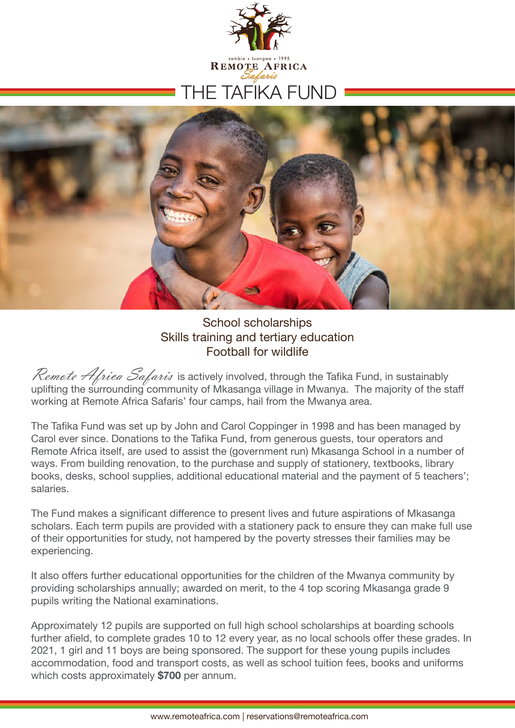



#### School scholarships Skills training and tertiary education Football for wildlife

Remote Africa Safaris is actively involved, through the Tafika Fund, in sustainably uplifting the surrounding community of Mkasanga village in Mwanya. The majority of the staff working at Remote Africa Safaris' four camps, hail from the Mwanya area.

The Tafika Fund was set up by John and Carol Coppinger in 1998 and has been managed by Carol ever since. Donations to the Tafika Fund, from generous guests, tour operators and Remote Africa itself, are used to assist the (government run) Mkasanga School in a number of ways. From building renovation, to the purchase and supply of stationery, textbooks, library books, desks, school supplies, additional educational material and the payment of 5 teachers'; salaries.

The Fund makes a significant difference to present lives and future aspirations of Mkasanga scholars. Each term pupils are provided with a stationery pack to ensure they can make full use of their opportunities for study, not hampered by the poverty stresses their families may be experiencing.

It also offers further educational opportunities for the children of the Mwanya community by providing scholarships annually; awarded on merit, to the 4 top scoring Mkasanga grade 9 pupils writing the National examinations.

Approximately 12 pupils are supported on full high school scholarships at boarding schools further afield, to complete grades 10 to 12 every year, as no local schools offer these grades. In 2021, 1 girl and 11 boys are being sponsored. The support for these young pupils includes accommodation, food and transport costs, as well as school tuition fees, books and uniforms which costs approximately **\$700** per annum.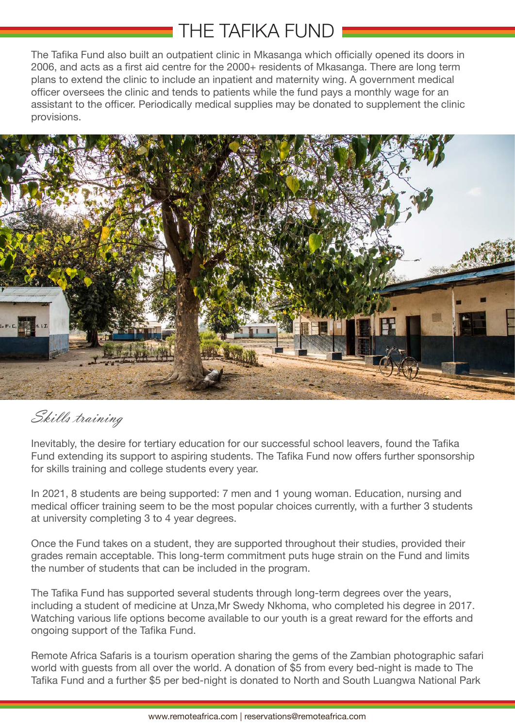# THE TAFIKA FUND

The Tafika Fund also built an outpatient clinic in Mkasanga which officially opened its doors in 2006, and acts as a first aid centre for the 2000+ residents of Mkasanga. There are long term plans to extend the clinic to include an inpatient and maternity wing. A government medical officer oversees the clinic and tends to patients while the fund pays a monthly wage for an assistant to the officer. Periodically medical supplies may be donated to supplement the clinic provisions.



### Skills training

Inevitably, the desire for tertiary education for our successful school leavers, found the Tafika Fund extending its support to aspiring students. The Tafika Fund now offers further sponsorship for skills training and college students every year.

In 2021, 8 students are being supported: 7 men and 1 young woman. Education, nursing and medical officer training seem to be the most popular choices currently, with a further 3 students at university completing 3 to 4 year degrees.

Once the Fund takes on a student, they are supported throughout their studies, provided their grades remain acceptable. This long-term commitment puts huge strain on the Fund and limits the number of students that can be included in the program.

The Tafika Fund has supported several students through long-term degrees over the years, including a student of medicine at Unza,Mr Swedy Nkhoma, who completed his degree in 2017. Watching various life options become available to our youth is a great reward for the efforts and ongoing support of the Tafika Fund.

Remote Africa Safaris is a tourism operation sharing the gems of the Zambian photographic safari world with guests from all over the world. A donation of \$5 from every bed-night is made to The Tafika Fund and a further \$5 per bed-night is donated to North and South Luangwa National Park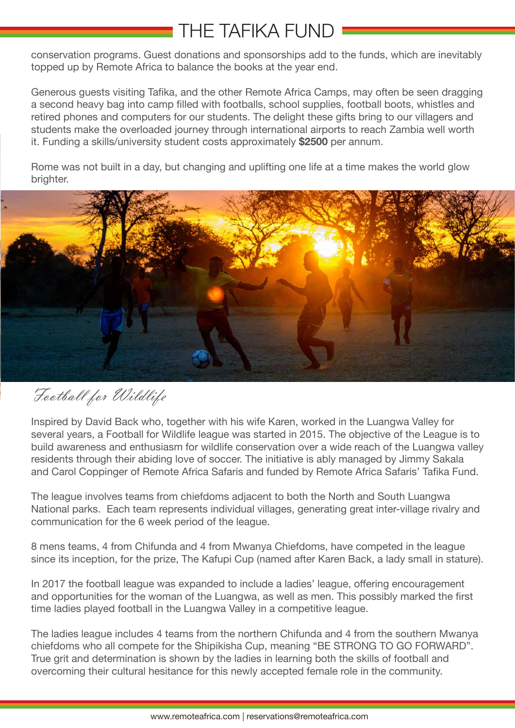### THE TAFIKA FUND

conservation programs. Guest donations and sponsorships add to the funds, which are inevitably topped up by Remote Africa to balance the books at the year end.

Generous guests visiting Tafika, and the other Remote Africa Camps, may often be seen dragging a second heavy bag into camp filled with footballs, school supplies, football boots, whistles and retired phones and computers for our students. The delight these gifts bring to our villagers and students make the overloaded journey through international airports to reach Zambia well worth it. Funding a skills/university student costs approximately **\$2500** per annum.

Rome was not built in a day, but changing and uplifting one life at a time makes the world glow brighter.



Football for Wildlife

Inspired by David Back who, together with his wife Karen, worked in the Luangwa Valley for several years, a Football for Wildlife league was started in 2015. The objective of the League is to build awareness and enthusiasm for wildlife conservation over a wide reach of the Luangwa valley residents through their abiding love of soccer. The initiative is ably managed by Jimmy Sakala and Carol Coppinger of Remote Africa Safaris and funded by Remote Africa Safaris' Tafika Fund.

The league involves teams from chiefdoms adjacent to both the North and South Luangwa National parks. Each team represents individual villages, generating great inter-village rivalry and communication for the 6 week period of the league.

8 mens teams, 4 from Chifunda and 4 from Mwanya Chiefdoms, have competed in the league since its inception, for the prize, The Kafupi Cup (named after Karen Back, a lady small in stature).

In 2017 the football league was expanded to include a ladies' league, offering encouragement and opportunities for the woman of the Luangwa, as well as men. This possibly marked the first time ladies played football in the Luangwa Valley in a competitive league.

The ladies league includes 4 teams from the northern Chifunda and 4 from the southern Mwanya chiefdoms who all compete for the Shipikisha Cup, meaning "BE STRONG TO GO FORWARD". True grit and determination is shown by the ladies in learning both the skills of football and overcoming their cultural hesitance for this newly accepted female role in the community.